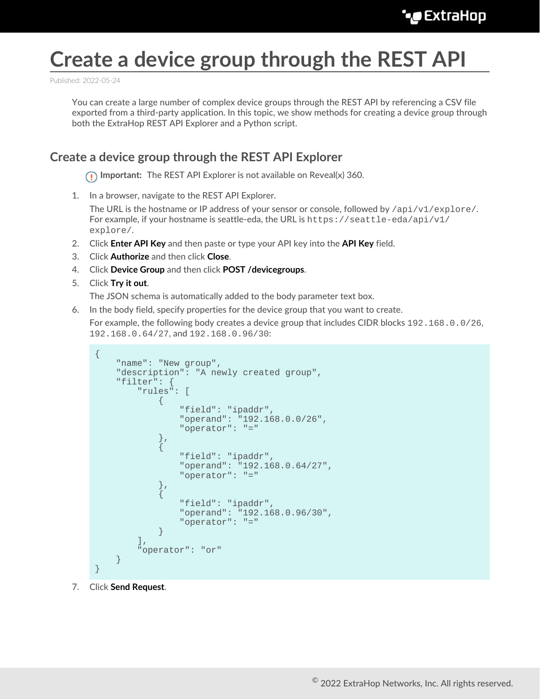## **Create a device group through the REST API**

Published: 2022-05-24

You can create a large number of complex device groups through the REST API by referencing a CSV file exported from a third-party application. In this topic, we show methods for creating a device group through both the ExtraHop REST API Explorer and a Python script.

## **Create a device group through the REST API Explorer**

**Important:** The REST API Explorer is not available on Reveal(x) 360.

1. In a browser, navigate to the REST API Explorer.

The URL is the hostname or IP address of your sensor or console, followed by  $/api/v1/explore/.$ For example, if your hostname is seattle-eda, the URL is  $h$ thes://seattle-eda/api/v1/ explore/.

- 2. Click **Enter API Key** and then paste or type your API key into the **API Key** field.
- 3. Click **Authorize** and then click **Close**.
- 4. Click **Device Group** and then click **POST /devicegroups**.
- 5. Click **Try it out**.

The JSON schema is automatically added to the body parameter text box.

6. In the body field, specify properties for the device group that you want to create.

For example, the following body creates a device group that includes CIDR blocks 192.168.0.0/26, 192.168.0.64/27, and 192.168.0.96/30:

```
{
      "name": "New group",
      "description": "A newly created group",
      "filter": {
           "rules": [
\left\{ \begin{array}{c} 0 & 0 \\ 0 & 0 \end{array} \right. "field": "ipaddr",
                      "operand": "192.168.0.0/26",
                     "operator": "="
, we have the set of \} ,
\left\{ \begin{array}{c} 0 & 0 \\ 0 & 0 \end{array} \right. "field": "ipaddr",
 "operand": "192.168.0.64/27",
 "operator": "="
\},
\left\{ \begin{array}{c} 0 & 0 \\ 0 & 0 \end{array} \right. "field": "ipaddr",
                      "operand": "192.168.0.96/30",
                      "operator": "="
 }
          \frac{1}{2} "operator": "or"
 }
}
```
7. Click **Send Request**.